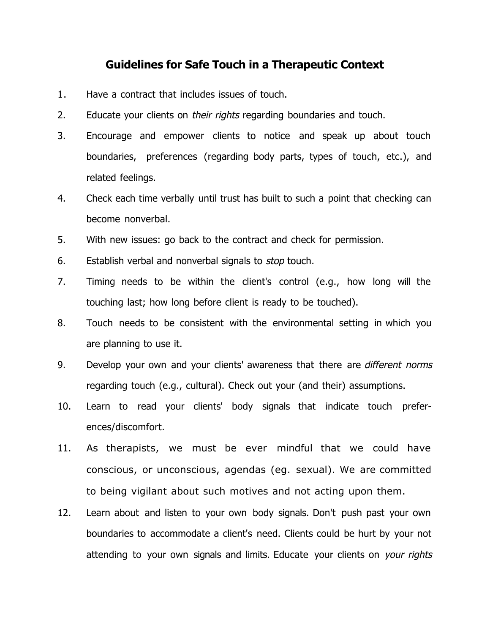## **Guidelines for Safe Touch in a Therapeutic Context**

- 1. Have a contract that includes issues of touch.
- 2. Educate your clients on their rights regarding boundaries and touch.
- 3. Encourage and empower clients to notice and speak up about touch boundaries, preferences (regarding body parts, types of touch, etc.), and related feelings.
- 4. Check each time verbally until trust has built to such a point that checking can become nonverbal.
- 5. With new issues: go back to the contract and check for permission.
- 6. Establish verbal and nonverbal signals to *stop* touch.
- 7. Timing needs to be within the client's control (e.g., how long will the touching last; how long before client is ready to be touched).
- 8. Touch needs to be consistent with the environmental setting in which you are planning to use it.
- 9. Develop your own and your clients' awareness that there are different norms regarding touch (e.g., cultural). Check out your (and their) assumptions.
- 10. Learn to read your clients' body signals that indicate touch preferences/discomfort.
- 11. As therapists, we must be ever mindful that we could have conscious, or unconscious, agendas (eg. sexual). We are committed to being vigilant about such motives and not acting upon them.
- 12. Learn about and listen to your own body signals. Don't push past your own boundaries to accommodate a client's need. Clients could be hurt by your not attending to your own signals and limits. Educate your clients on your rights